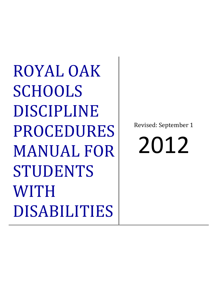ROYAL OAK **SCHOOLS** DISCIPLINE PROCEDURES MANUAL FOR STUDENTS WITH DISABILITIES

Revised: September 1

2012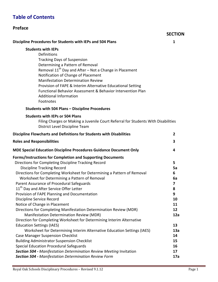# Table of Contents

### Preface

#### **SECTION**

Discipline Procedures for Students with IEPs and 504 Plans 1

#### Students with IEPs

| <b>Definitions</b>                                                 |
|--------------------------------------------------------------------|
| <b>Tracking Days of Suspension</b>                                 |
| Determining a Pattern of Removal                                   |
| Removal 11 <sup>th</sup> Day and After - Not a Change in Placement |
| Notification of Change of Placement                                |
| <b>Manifestation Determination Review</b>                          |
| Provision of FAPE & Interim Alternative Educational Setting        |
| Functional Behavior Assessment & Behavior Intervention Plan        |
| <b>Additional Information</b>                                      |
| Footnotes                                                          |

#### Students with 504 Plans – Discipline Procedures

#### Students with IEPs or 504 Plans

Filing Charges or Making a Juvenile Court Referral for Students With Disabilities District Level Discipline Team

| Discipline Flowcharts and Definitions for Students with Disabilities      |     |
|---------------------------------------------------------------------------|-----|
| <b>Roles and Responsibilities</b>                                         | 3   |
| <b>MDE Special Education Discipline Procedures Guidance Document Only</b> | 4   |
| <b>Forms/Instructions for Completion and Supporting Documents</b>         |     |
| Directions for Completing Discipline Tracking Record                      | 5   |
| <b>Discipline Tracking Record</b>                                         | 5a  |
| Directions for Completing Worksheet for Determining a Pattern of Removal  | 6   |
| Worksheet for Determining a Pattern of Removal                            | 6a  |
| Parent Assurance of Procedural Safeguards                                 | 7   |
| 11 <sup>th</sup> Day and After Service Offer Letter                       | 8   |
| Provision of FAPE Planning and Documentation                              | 9   |
| Discipline Service Record                                                 | 10  |
| Notice of Change in Placement                                             | 11  |
| Directions for Completing Manifestation Determination Review (MDR)        | 12  |
| Manifestation Determination Review (MDR)                                  | 12a |
| Direction for Completing Worksheet for Determining Interim Alternative    |     |
| <b>Education Settings (IAES)</b>                                          | 13  |
| Worksheet for Determining Interim Alternative Education Settings (IAES)   | 13a |
| <b>Case Manager Suspension Checklist</b>                                  | 14  |
| <b>Building Administrator Suspension Checklist</b>                        | 15  |
| Special Education Procedural Safeguards                                   | 16  |
| Section 504 - Manifestation Determination Review Meeting Invitation       | 17  |
| Section 504 - Manifestation Determination Review Form                     | 17a |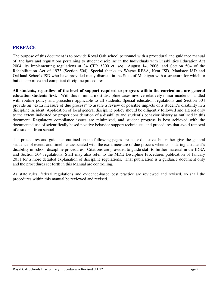## **PREFACE**

The purpose of this document is to provide Royal Oak school personnel with a procedural and guidance manual of the laws and regulations pertaining to student discipline in the Individuals with Disabilities Education Act 2004, its implementing regulations at 34 CFR §300 et. seq., August 14, 2006, and Section 504 of the Rehabilitation Act of 1973 (Section 504). Special thanks to Wayne RESA, Kent ISD, Manistee ISD and Oakland Schools ISD who have provided many districts in the State of Michigan with a structure for which to build supportive and compliant discipline procedures.

**All students, regardless of the level of support required to progress within the curriculum, are general education students first.** With this in mind, most discipline cases involve relatively minor incidents handled with routine policy and procedure applicable to all students. Special education regulations and Section 504 provide an "extra measure of due process" to assure a review of possible impacts of a student's disability in a discipline incident. Application of local general discipline policy should be diligently followed and altered only to the extent indicated by proper consideration of a disability and student's behavior history as outlined in this document. Regulatory compliance issues are minimized, and student progress is best achieved with the documented use of scientifically based positive behavior support techniques, and procedures that avoid removal of a student from school.

The procedures and guidance outlined on the following pages are not exhaustive, but rather give the general sequence of events and timelines associated with the extra measure of due process when considering a student's disability in school discipline procedures. Citations are provided to guide staff to further material in the IDEA and Section 504 regulations. Staff may also refer to the MDE Discipline Procedures publication of January 2011 for a more detailed explanation of discipline regulations. That publication is a guidance document only and the procedures set forth in this Manual are controlling.

As state rules, federal regulations and evidence-based best practice are reviewed and revised, so shall the procedures within this manual be reviewed and revised.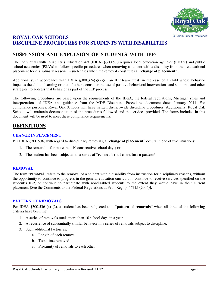

## **ROYAL OAK SCHOOLS DISCIPLINE PROCEDURES FOR STUDENTS WITH DISABILITIES**

# **SUSPENSION AND EXPULSION OF STUDENTS WITH IEPs**

The Individuals with Disabilities Education Act (IDEA) §300.530 requires local education agencies (LEA's) and public school academies (PSA's) to follow specific procedures when removing a student with a disability from their educational placement for disciplinary reasons in such cases when the removal constitutes a "**change of placement**" .

Additionally, in accordance with IDEA §300.324(a)(2)(i), an IEP team must, in the case of a child whose behavior impedes the child's learning or that of others, consider the use of positive behavioral interventions and supports, and other strategies, to address that behavior as part of the IEP process.

The following procedures are based upon the requirements of the IDEA, the federal regulations, Michigan rules and interpretations of IDEA and guidance from the MDE Discipline Procedures document dated January 2011. For compliance purposes, Royal Oak Schools will have written district-wide discipline procedures. Additionally, Royal Oak Schools will maintain documentation of the procedures followed and the services provided. The forms included in this document will be used to meet these compliance requirements.

## **DEFINITIONS**

#### **CHANGE IN PLACEMENT**

Per IDEA §300.536, with regard to disciplinary removals, a "**change of placement"** occurs in one of two situations:

- 1. The removal is for more than 10 consecutive school days; or
- 2. The student has been subjected to a series of "**removals that constitute a pattern"**.

#### **REMOVAL**

The term "**removal**" refers to the removal of a student with a disability from instruction for disciplinary reasons, without the opportunity to continue to progress in the general education curriculum, continue to receive services specified on the student's IEP, or continue to participate with nondisabled students to the extent they would have in their current placement [See the Comments to the Federal Regulations at Fed. Reg. p. 46715 (2006)].

#### **PATTERN OF REMOVALS**

Per IDEA §300.536 (a) (2), a student has been subjected to a "**pattern of removals"** when all three of the following criteria have been met:

- 1. A series of removals totals more than 10 school days in a year.
- 2. A recurrence of substantially similar behavior in a series of removals subject to discipline.
- 3. Such additional factors as:
	- a. Length of each removal
	- b. Total time removed
	- c. Proximity of removals to each other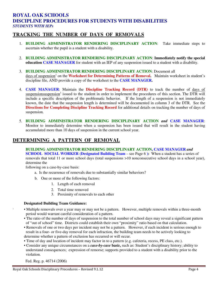### **ROYAL OAK SCHOOLS DISCIPLINE PROCEDURES FOR STUDENTS WITH DISABILITIES** *STUDENTS WITH IEPs*

### **TRACKING THE NUMBER OF DAYS OF REMOVALS**

- 1. **BUILDING ADMINISTRATOR RENDERING DISCIPLINARY ACTION**: Take immediate steps to ascertain whether the pupil is a student with a disability.
- 2. **BUILDING ADMINISTRATOR RENDERING DISCIPLINARY ACTION**: **Immediately notify the special education CASE MANAGER** for student with an IEP of any suspension issued to a student with a disability.
- 3. **BUILDING ADMINISTRATOR RENDERING DISCIPLINARY ACTION**: Document all days of suspension<sup>1</sup> on the **Worksheet for Determining Patterns of Removal.** Maintain worksheet in student's discipline file, AND provide a copy of the worksheet to the **CASE MANAGER.**
- 4. **CASE MANAGER**: Maintain the **Discipline Tracking Record (DTR)** to track the number of days of suspensionsuspension<sup>1</sup> issued to the student in order to implement the procedures of this section. The DTR will include a specific description of the problematic behavior. If the length of a suspension is not immediately known, the date that the suspension length is determined will be documented in column 3 of the DTR. See the **Directions for Completing Discipline Tracking Record** for additional details on tracking the number of days of suspension.
- 5. **BUILDING ADMINISTRATOR RENDERING DISCIPLINARY ACTION** *and* **CASE MANAGER**: Monitor to immediately determine when a suspension has been issued that will result in the student having accumulated more than 10 days of suspension in the current school year.

## **DETERMINING A PATTERN OF REMOVAL**

**BUILDING ADMINISTRATOR RENDERING DISCIPLINARY ACTION, CASE MANAGER** *and* **SCHOOL SOCIAL WORKER** (Designated Building Team – see Page 6): When a student has a series of removals that total 11 or more school days (total suspensions >10 nonconsecutive school days in a school year), determine the

following on a case-by-case basis:

- a. Is the recurrence of removals due to substantially similar behaviors?
- b. One or more of the following factors:
	- 1. Length of each removal
	- 2. Total time removed
	- 3. Proximity of removals to each other

#### **Designated Building Team Guidance:**

.

- Multiple removals over a year may or may not be a pattern. However, multiple removals within a three-month period would warrant careful consideration of a pattern.
- The ratio of the number of days of suspension to the total number of school days may reveal a significant pattern of "out of school" time. Districts could establish their own "proximity" ratio based on that calculation.
- Removals of one or two days per incident may not be a pattern. However, if each incident is serious enough to result in a four- or five-day removal for each infraction, the building team needs to be actively looking to determine whether a pattern of exclusion has occurred or will occur.
- Time of day and location of incident may factor in to a pattern (e.g. cafeteria, recess, PE class, etc.).
- Consider any unique circumstances on a *case-by-case* **basi***s***,** such as: Student's disciplinary history; ability to understand consequences; expression of remorse; supports provided to a student with a disability prior to the violation.

Fed. Reg. p. 46714 (2006)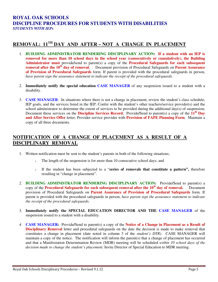### **ROYAL OAK SCHOOLS DISCIPLINE PROCEDURES FOR STUDENTS WITH DISABILITIES** *STUDENTS WITH IEPs*

## **REMOVAL: 11TH DAY AND AFTER – NOT A CHANGE IN PLACEMENT**

- 1. **BUILDING ADMINISTRATOR RENDERING DISCIPLINARY ACTION: If a student with an IEP is removed for more than 10 school days in the school year (consecutively or cumulatively), the Building Administrator must** provide**/**send to parent(s) a copy of the **Procedural Safeguards for each subsequent removal after the 10th day of removal.** . Document provision of Procedural Safeguards on **Parent Assurance of Provision of Procedural Safeguards** form. If parent is provided with the procedural safeguards in person, *have parent sign the assurance statement to indicate the receipt of the procedural safeguards.*
- 2. **Immediately notify the special education CASE MANAGER** of any suspension issued to a student with a disability.
- 3. **CASE MANAGER**: In situations where there is not a change in placement, review the student's class schedule, IEP goals, and the services listed in the IEP; Confer with the student's other teachers/service provider(s) and the school administrator to determine the extent of services to be provided during the additional day(s) of suspension; Document these services on the **Discipline Services Record**; Provide**/**Send to parent(s) a copy of the **11th Day and After Service Offer** letter; Provider service provider with **Provision of FAPE Planning Form**. Maintain a copy of all three documents.

## **NOTIFICATION OF A CHANGE OF PLACEMENT AS A RESULT OF A DISCIPLINARY REMOVAL**

- 1. Written notification must be sent to the student's parents in both of the following situations;
	- The length of the suspension is for more than 10 consecutive school days; and
	- If the student has been subjected to a "**series of removals that constitute a pattern",** therefore resulting in "change in placement".
- *2.* **BUILDING ADMINISTRATOR RENDERING DISCIPLINARY ACTION:** Provide**/**Send to parent(s) a copy of the **Procedural Safeguards for each subsequent removal after the 10th day of removal.** . Document provision of Procedural Safeguards on **Parent Assurance of Provision of Procedural Safeguards** form. If parent is provided with the procedural safeguards in person, *have parent sign the assurance statement to indicate the receipt of the procedural safeguards.*
- 3. **Immediately notify the SPECIAL EDUCATION DIRECTOR AND THE CASE MANAGER** of the suspension issued to a student with a disability.
- *4.* **CASE MANAGER:** Provide**/**Send to parent(s) a copy of the **Notice of a Change in Placement as a Result of Disciplinary Removal** letter and procedural safeguards on the date the decision is made to make removal that constitutes a change in placement (date noted in column 3 of the *student's DTR).* CASE MANAGER will maintain a copy of the notice. The notification will inform the parent(s) that a change of placement has occurred and that a Manifestation Determination Review (MDR) meeting will be scheduled *within 10 school days of the decision made to change the student's placement.* Invite Director of Special Education to MDR meeting.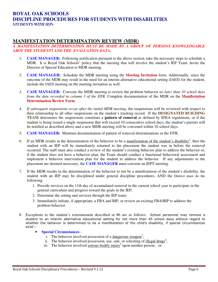### **ROYAL OAK SCHOOLS DISCIPLINE PROCEDURES FOR STUDENTS WITH DISABILITIES** *STUDENTS WITH IEPs*

## **MANIFESTATION DETERMINATION REVIEW (MDR)**

#### *A MANIFESTATION DETERMINATION MUST BE MADE BY A GROUP OF PERSONS KNOWLEDGABLE ABOT THE STUDENT5 AND THE EVALUATION DATA***.**

- 1. **CASE MANAGER:** Following notification pursuant to the above section, take the necessary steps to schedule a MDR. It is Royal Oak Schools' policy that the meeting that will involve the student's IEP Team. Invite the Director of Special Education to MDR meeting.
- 2. **CASE MANAGER:** Schedule the MDR meeting using the **Meeting Invitation** form. Additionally, since the outcome of the MDR may result in the need for an interim alternative educational setting (IAES) for the student, include the IAES meeting on the meeting invitation as well.
- *3.* **CASE MANAGER:** Convene the MDR meeting to review the problem behavior *no later than 10 school days from the date recorded in column 3 of the DTR.* Complete documentation of the MDR on the **Manifestation Determination Review Form**.
- 4. *If subsequent suspensions occur after the initial MDR meeting*, the suspensions will be reviewed with respect to their relationship to all other suspensions on the student's tracking record. If the **DESIGNATED BUILDING TEAM** determines the suspensions constitute a **pattern of removal** as defined by IDEA regulations, or if the student is being issued a single suspension that will exceed 10 consecutive school days, the student's parents will be notified as described above and a new MDR meeting will be convened within 10 school days.
- 5. **CASE MANAGER:** Maintain documentation of pattern of removal determinations in the DTR.
- 6. If an MDR results in the determination of the behavior to be a manifestation of the student's disability<sup>2</sup>, then the student with an IEP will be immediately returned to the placement the student was in before the removal occurred. The staff must also conduct a review of the student's existing behavior plan to address the behavior or, if the student does not have a behavior plan, the Team should conduct a functional behavioral assessment and implement a behavior intervention plan for the student to address the behavior. If any adjustments to the placement are deemed necessary, the **CASE MANAGER** must convene an IEPT meeting.
- 7. If the MDR results in the determination of the behavior to not be a manifestation of the student's disability, the student with an IEP may be disciplined under general discipline procedures, AND the District must do the following:
	- 1. Provide services on the 11th day of accumulated removal in the current school year to participate in the general curriculum and progress toward the goals in the IEP;
	- 2. Determine the setting and services through the IEP team;
	- 3. Immediately initiate, if appropriate, a FBA and BIP, or review an existing FBA/BIP to address the problem behavior.
- 8. Exceptions to the student's reinstatement described in #6 are as follows: School personnel may remove a student to an interim alternative educational setting for not more than 45 school days without regard to whether the behavior is determined to be a manifestation of the child's disability, if special circumstances exist--
	- **Special Circumstances**
		- i. The behavior involved possession of a dangerous weapon<sup>3</sup>;
		- ii. The behavior involved possession, use, sale, or soliciting of  $\frac{_{\text{illegal} drugs^4}}{_{\text{illegal}}}}$ ;
		- iii. The behavior involved serious bodily injury<sup>5</sup> upon another person; or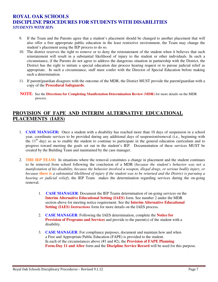### **ROYAL OAK SCHOOLS DISCIPLINE PROCEDURES FOR STUDENTS WITH DISABILITIES**  *STUDENTS WITH IEPs*

- 9. If the Team and the Parents agree that a student's placement should be changed to another placement that will also offer a free appropriate public education in the least restrictive environment, the Team may change the student's placement using the IEP process to do so.
- 10. The district reserves the right to remove or to deny the reinstatement of the student when it believes that such reinstatement will result in a substantial likelihood of injury to the student or other individuals. In such a circumstance, if the Parents do not agree to address the dangerous situation in partnership with the District, the District has the right to initiate a special education due process hearing request or to pursue judicial relief as appropriate. In such a circumstance, staff must confer with the Director of Special Education before making such a determination.
- 11. If parent/guardian disagrees with the outcome of the MDR, the District MUST provide the parent/guardian with a copy of the **Procedural Safeguards**.
- **NOTE**: See the **Directions for Completing Manifestation Determination Review (MDR)** for more details on the MDR process.

## **PROVISION OF FAPE AND INTERIM ALTERNATIVE EDUCATIONAL PLACEMENTS (IAES)**

- 1. **CASE MANAGER:** Once a student with a disability has reached more than 10 days of suspension in a school year, coordinate services to be provided during any additional days of suspension/removal (i.e., beginning with the  $11<sup>th</sup>$  day) so as to enable the student to continue to participate in the general education curriculum and to progress toward meeting the goals set out in the student's IEP. Documentation of these services MUST be created by the Building Team and maintained by the case manager.
- 2. **THE IEP TEAM:** In situations where the removal constitutes a change in placement and the student continues to be removed from school following the conclusion of a MDR (*because the student's behavior was not a manifestation of his disability, because the behavior involved a weapon, illegal drugs, or serious bodily injury, or because* **there is** *a substantial likelihood of injury if the student was to be returned and the District is pursuing a hearing or judicial relief*), the IEP Team makes the determination regarding services during the on-going removal.
	- 1. **CASE MANAGER**: Document the IEP Teams determination of on-going services on the **Interim Alternative Educational Setting (IAES)** form. See number 2 under the MDR section above for meeting notice requirement. See the **Interim Alternative Educational Setting (IAES)** *Instructions* form for more details on the IAES process.
	- 2. **CASE MANAGER**: Following the IAES determination, complete the **Notice for Provision of Programs and Services** and provide to the parent(s) of the student with a disability.
	- 3. **CASE MANAGER**: For compliance purposes, document and maintain how and when a Free and Appropriate Public Education (FAPE) is provided to the student. In each of the circumstances above (#1 and #2), the **Provision of FAPE Planning Form-Day 11 and After** form and the **Discipline Service Record** will be used for this purpose.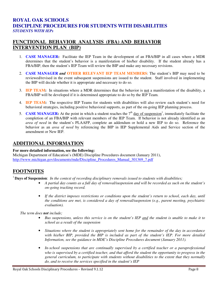### **ROYAL OAK SCHOOLS DISCIPLINE PROCEDURES FOR STUDENTS WITH DISABILITIES**  *STUDENTS WITH IEPs*

## **FUNCTIONAL BEHAVIOR ANALYSIS (FBA) AND BEHAVIOR INTERVENTION PLAN (BIP)**

- 1. **CASE MANAGER:** Facilitate the IEP Team in the development of an FBA/BIP in all cases where a MDR determines that the student's behavior is a manifestation of his/her disability. If the student already has a FBA/BIP, then the student's IEP Team will review the BIP and make any necessary revisions.
- 2. **CASE MANAGER** *and* **OTHER RELEVANT IEP TEAM MEMBERS**: The student's BIP may need to be reviewed/revised in the event subsequent suspensions are issued to the student. Staff involved in implementing the BIP will decide whether it is appropriate and necessary to do so.
- 3. **IEP TEAM:** In situations where a MDR determines that the behavior is not a manifestation of the disability, a FBA/BIP will be developed if it is determined appropriate to do so by the IEP Team.
- 4. **IEP TEAM:** The respective IEP Teams for students with disabilities will also review each student's need for behavioral strategies, including positive behavioral supports, as part of the on-going IEP planning process.
- 5. **CASE MANAGER:** At the point in which a student reaches the  $7<sup>th</sup>$  day of suspension<sup>1</sup>, immediately facilitate the completion of an FBA/BIP with relevant members of the IEP Team. If behavior is not already identified as an *area of need* in the student's PLAAFP, complete an addendum or hold a new IEP to do so. Reference the behavior as an *area of need* by referencing the BIP in IEP Supplemental Aids and Service section of the amendment or New IEP.

### **ADDITIONAL INFORMATION**

#### **For more detailed information, see the following:**

Michigan Department of Education's (MDE) Discipline Procedures document (January 2011), http://www.michigan.gov/documents/mde/Discipline\_Procedures\_Manual\_301369\_7.pdf

# **FOOTNOTES**

<sup>1</sup>**Days of Suspension**: *In the context of recording disciplinary removals issued to students with disabilities;* 

- *A partial day counts as a full day of removal/suspension and will be recorded as such on the student's on-going tracking record.*
- *If the district imposes restrictions or conditions upon the student's return to school, each day, until the conditions are met, is considered a day of removal/suspension (e.g., parent meeting, psychiatric evaluation).*

 *The term does not include;* 

- *Bus suspensions, unless this service is on the student's IEP and the student is unable to make it to school as a result of the suspension*
- *Situations where the student is appropriately sent home for the remainder of the day in accordance with his/her BIP, provided the BIP is included as part of the student's IEP. For more detailed Information, see the guidance in MDE's Discipline Procedures document (January 2011).*
- *In-school suspensions that are continually supervised by a certified teacher or a paraprofessional who is supervised by a certified teacher, and that afford the student the opportunity to progress in the general curriculum, to participate with students without disabilities to the extent that they normally do, and to receive the services specified in the student's IEP*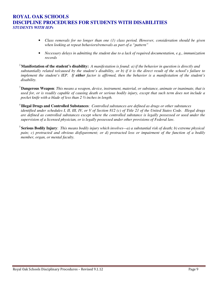### **ROYAL OAK SCHOOLS DISCIPLINE PROCEDURES FOR STUDENTS WITH DISABILITIES**  *STUDENTS WITH IEPs*

- *Class removals for no longer than one (1) class period. However, consideration should be given when looking at repeat behaviors/removals as part of a "pattern"*
- *Necessary delays in admitting the student due to a lack of required documentation, e.g., immunization records*

<sup>2</sup>**Manifestation of the student's disability:** *A manifestation is found: a) if the behavior in question is directly and substantially related to/caused by the student's disability, or b) if it is the direct result of the school's failure to implement the student's IEP. If either factor is affirmed, then the behavior is a manifestation of the student's disability.* 

<sup>3</sup>**Dangerous Weapon**: *This means a weapon, device, instrument, material, or substance, animate or inanimate, that is used for, or is readily capable of causing death or serious bodily injury, except that such term does not include a pocket knife with a blade of less than 2 ½ inches in length.* 

<sup>4</sup>**Illegal Drugs and Controlled Substances**: *Controlled substances are defined as drugs or other substances identified under schedules I, II, III, IV, or V of Section 812 (c) of Title 21 of the United States Code. Illegal drugs are defined as controlled substances except where the controlled substance is legally possessed or used under the supervision of a licensed physician, or is legally possessed under other provisions of Federal law.* 

<sup>5</sup>**Serious Bodily Injury**: *This means bodily injury which involves—a) a substantial risk of death; b) extreme physical pain; c) protracted and obvious disfigurement; or d) protracted loss or impairment of the function of a bodily member, organ, or mental faculty.*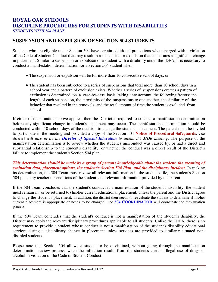### **ROYAL OAK SCHOOLS DISCIPLINE PROCEDURES FOR STUDENTS WITH DISABILITIES** *STUDENTS WITH 504 PLANS*

## **SUSPENSION AND EXPULSION OF SECTION 504 STUDENTS**

Students who are eligible under Section 504 have certain additional protections when charged with a violation of the Code of Student Conduct that may result in a suspension or expulsion that constitutes a significant change in placement. Similar to suspension or expulsion of a student with a disability under the IDEA, it is necessary to conduct a manifestation determination for a Section 504 student when:

- The suspension or expulsion will be for more than 10 consecutive school days; or
- The student has been subjected to a series of suspensions that total more than 10 school days in a school year and a pattern of exclusion exists. Whether a series of suspensions creates a pattern of exclusion is determined on a case-by-case basis taking into account the following factors: the length of each suspension, the proximity of the suspensions to one another, the similarity of the behavior that resulted in the removals, and the total amount of time the student is excluded from school.

If either of the situations above applies, then the District is required to conduct a manifestation determination before any significant change in student's placement may occur. The manifestation determination should be conducted within 10 school days of the decision to change the student's placement. The parent must be invited to participate in the meeting and provided a copy of the Section 504 **Notice of Procedural Safeguards**. *The district will also invite the Director of Special Education to attend the MDR meeting*. The purpose of the manifestation determination is to review whether the student's misconduct was caused by, or had a direct and substantial relationship to the student's disability; or whether the conduct was a direct result of the District's failure to implement the student's Section 504 plan.

*This determination should be made by a group of persons knowledgeable about the student, the meaning of evaluation data, placement options, the student's Section 504 Plan, and the disciplinary incident.* In making its determination, the 504 Team must review all relevant information in the student's file, the student's Section 504 plan, any teacher observations of the student, and relevant information provided by the parent.

If the 504 Team concludes that the student's conduct is a manifestation of the student's disability, the student must remain in (or be returned to) his/her current educational placement, unless the parent and the District agree to change the student's placement. In addition, the district then needs to reevaluate the student to determine if his/her current placement is appropriate or needs to be changed. The **504 COORDINATOR** will coordinate the reevaluation process.

If the 504 Team concludes that the student's conduct is not a manifestation of the student's disability, the District may apply the relevant disciplinary procedures applicable to all students. Unlike the IDEA, there is no requirement to provide a student whose conduct is not a manifestation of the student's disability educational services during a disciplinary change in placement unless services are provided to similarly situated nondisabled students.

Please note that Section 504 allows a student to be disciplined, without going through the manifestation determination review process, when the infraction results from the student's current illegal use of drugs or alcohol in violation of the Code of Student Conduct.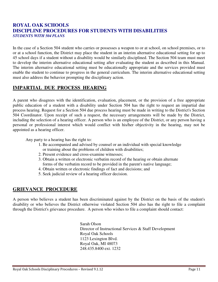## **ROYAL OAK SCHOOLS DISCIPLINE PROCEDURES FOR STUDENTS WITH DISABILITIES** *STUDENTS WITH 504 PLANS*

In the case of a Section 504 student who carries or possesses a weapon to or at school, on school premises, or to or at a school function, the District may place the student in an interim alternative educational setting for up to 45 school days if a student without a disability would be similarly disciplined. The Section 504 team must meet to develop the interim alternative educational setting after evaluating the student as described in this Manual. The interim alternative educational setting must be educationally appropriate and the services provided must enable the student to continue to progress in the general curriculum. The interim alternative educational setting must also address the behavior prompting the disciplinary action.

# **IMPARTIAL DUE PROCESS HEARING**

A parent who disagrees with the identification, evaluation, placement, or the provision of a free appropriate public education of a student with a disability under Section 504 has the right to request an impartial due process hearing. Request for a Section 504 due process hearing must be made in writing to the District's Section 504 Coordinator. Upon receipt of such a request, the necessary arrangements will be made by the District, including the selection of a hearing officer. A person who is an employee of the District, or any person having a personal or professional interest which would conflict with his/her objectivity in the hearing, may not be appointed as a hearing officer.

Any party to a hearing has the right to:

- 1. Be accompanied and advised by counsel or an individual with special knowledge or training about the problems of children with disabilities;
- 2. Present evidence and cross-examine witnesses;
- 3. Obtain a written or electronic verbatim record of the hearing or obtain alternate forms of the verbatim record to be provided in the parent's native language;
- 4. Obtain written or electronic findings of fact and decisions; and
- 5. Seek judicial review of a hearing officer decision.

### **GRIEVANCE PROCEDURE**

A person who believes a student has been discriminated against by the District on the basis of the student's disability or who believes the District otherwise violated Section 504 also has the right to file a complaint through the District's grievance procedure. A person who wishes to file a complaint should contact:

> Sarah Olson Director of Instructional Services & Staff Development Royal Oak Schools 1123 Lexington Blvd. Royal Oak, MI 48073 248.435.8400 ext. 1232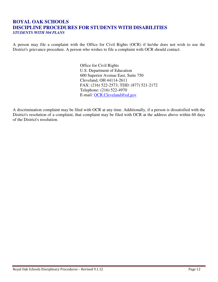### **ROYAL OAK SCHOOLS DISCIPLINE PROCEDURES FOR STUDENTS WITH DISABILITIES** *STUDENTS WITH 504 PLANS*

A person may file a complaint with the Office for Civil Rights (OCR) if he/she does not wish to use the District's grievance procedure. A person who wishes to file a complaint with OCR should contact:

> Office for Civil Rights U.S. Department of Education 600 Superior Avenue East, Suite 750 Cleveland, OH 44114-2611 FAX: (216) 522-2573; TDD: (877) 521-2172 Telephone: (216) 522-4970 E-mail: OCR.Cleveland@ed.gov

A discrimination complaint may be filed with OCR at any time. Additionally, if a person is dissatisfied with the District's resolution of a complaint, that complaint may be filed with OCR at the address above within 60 days of the District's resolution.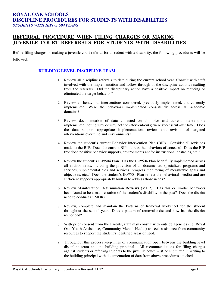#### **ROYAL OAK SCHOOLS DISCIPLINE PROCEDURES FOR STUDENTS WITH DISABILITIES**  *STUDENTS WITH IEPs or 504 PLANS*

## **REFERRAL PROCEDURE WHEN FILING CHARGES OR MAKING JUVENILE COURT REFERRALS FOR STUDENTS WITH DISABILITIES**

Before filing charges or making a juvenile court referral for a student with a disability, the following procedures will be followed:

#### **BUILDING LEVEL DISCIPLINE TEAM**

- 1. Review all discipline referrals to date during the current school year. Consult with staff involved with the implementation and follow through of the discipline actions resulting from the referrals. Did the disciplinary action have a positive impact on reducing or eliminated the target behavior?
- 2. Review all behavioral interventions considered, previously implemented, and currently implemented. Were the behaviors implemented consistently across all academic domains?
- 3. Review documentation of data collected on all prior and current interventions implemented, noting why or why not the intervention(s) were successful over time. Does the data support appropriate implementation, review and revision of targeted interventions over time and environments?
- 4. Review the student's current Behavior Intervention Plan (BIP). Consider all revisions made to the BIP. Does the current BIP address the behaviors of concern? Does the BIP frontload positive behavior supports, environments and/or instructional obstacles, etc.?
- 5. Review the student's IEP/504 Plan. Has the IEP/504 Plan been fully implemented across all environments, including the provision of all documented specialized programs and services, supplemental aids and services, progress monitoring of measurable goals and objectives, etc.? Does the student's IEP/504 Plan reflect the behavioral need(s) and are sufficient supports appropriately built in to address those needs?
- 6. Review Manifestation Determination Reviews (MDR). Has this or similar behaviors been found to be a manifestation of the student's disability in the past? Does the district need to conduct an MDR?
- 7. Review, complete and maintain the Patterns of Removal worksheet for the student throughout the school year. Does a pattern of removal exist and how has the district responded?
- 8. With prior consent from the Parents, staff may consult with outside agencies (i.e. Royal Oak Youth Assistance, Community Mental Health) to seek assistance from community resources to support the student's identified areas of need.
- 9. Throughout this process keep lines of communication open between the building level discipline team and the building principal. All recommendations for filing charges against students or referring students to the juvenile court must be submitted in writing to the building principal with documentation of data from above procedures attached.